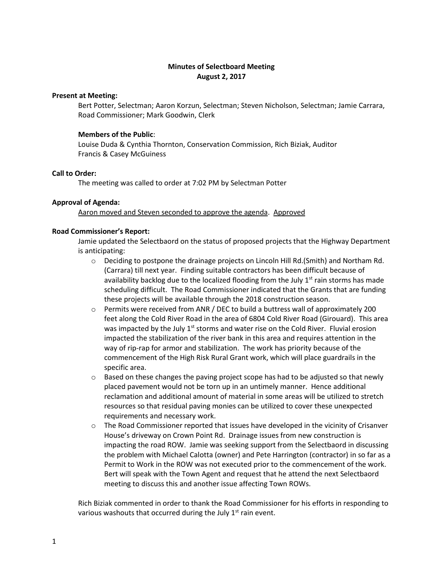# **Minutes of Selectboard Meeting August 2, 2017**

### **Present at Meeting:**

Bert Potter, Selectman; Aaron Korzun, Selectman; Steven Nicholson, Selectman; Jamie Carrara, Road Commissioner; Mark Goodwin, Clerk

#### **Members of the Public**:

Louise Duda & Cynthia Thornton, Conservation Commission, Rich Biziak, Auditor Francis & Casey McGuiness

### **Call to Order:**

The meeting was called to order at 7:02 PM by Selectman Potter

### **Approval of Agenda:**

Aaron moved and Steven seconded to approve the agenda. Approved

### **Road Commissioner's Report:**

Jamie updated the Selectbaord on the status of proposed projects that the Highway Department is anticipating:

- $\circ$  Deciding to postpone the drainage projects on Lincoln Hill Rd. (Smith) and Northam Rd. (Carrara) till next year. Finding suitable contractors has been difficult because of availability backlog due to the localized flooding from the July  $1<sup>st</sup>$  rain storms has made scheduling difficult. The Road Commissioner indicated that the Grants that are funding these projects will be available through the 2018 construction season.
- $\circ$  Permits were received from ANR / DEC to build a buttress wall of approximately 200 feet along the Cold River Road in the area of 6804 Cold River Road (Girouard). This area was impacted by the July  $1<sup>st</sup>$  storms and water rise on the Cold River. Fluvial erosion impacted the stabilization of the river bank in this area and requires attention in the way of rip-rap for armor and stabilization. The work has priority because of the commencement of the High Risk Rural Grant work, which will place guardrails in the specific area.
- $\circ$  Based on these changes the paving project scope has had to be adjusted so that newly placed pavement would not be torn up in an untimely manner. Hence additional reclamation and additional amount of material in some areas will be utilized to stretch resources so that residual paving monies can be utilized to cover these unexpected requirements and necessary work.
- $\circ$  The Road Commissioner reported that issues have developed in the vicinity of Crisanver House's driveway on Crown Point Rd. Drainage issues from new construction is impacting the road ROW. Jamie was seeking support from the Selectbaord in discussing the problem with Michael Calotta (owner) and Pete Harrington (contractor) in so far as a Permit to Work in the ROW was not executed prior to the commencement of the work. Bert will speak with the Town Agent and request that he attend the next Selectbaord meeting to discuss this and another issue affecting Town ROWs.

Rich Biziak commented in order to thank the Road Commissioner for his efforts in responding to various washouts that occurred during the July  $1<sup>st</sup>$  rain event.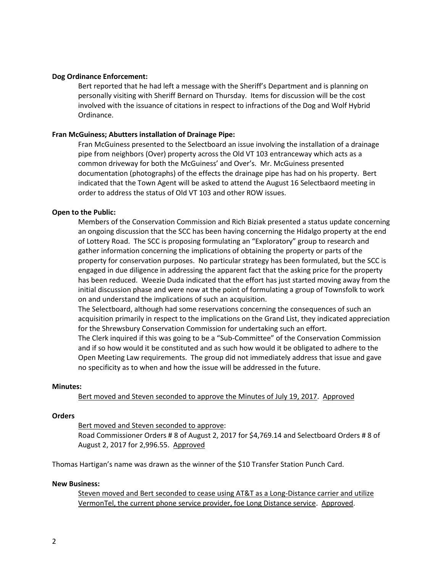### **Dog Ordinance Enforcement:**

Bert reported that he had left a message with the Sheriff's Department and is planning on personally visiting with Sheriff Bernard on Thursday. Items for discussion will be the cost involved with the issuance of citations in respect to infractions of the Dog and Wolf Hybrid Ordinance.

### **Fran McGuiness; Abutters installation of Drainage Pipe:**

Fran McGuiness presented to the Selectboard an issue involving the installation of a drainage pipe from neighbors (Over) property across the Old VT 103 entranceway which acts as a common driveway for both the McGuiness' and Over's. Mr. McGuiness presented documentation (photographs) of the effects the drainage pipe has had on his property. Bert indicated that the Town Agent will be asked to attend the August 16 Selectbaord meeting in order to address the status of Old VT 103 and other ROW issues.

## **Open to the Public:**

Members of the Conservation Commission and Rich Biziak presented a status update concerning an ongoing discussion that the SCC has been having concerning the Hidalgo property at the end of Lottery Road. The SCC is proposing formulating an "Exploratory" group to research and gather information concerning the implications of obtaining the property or parts of the property for conservation purposes. No particular strategy has been formulated, but the SCC is engaged in due diligence in addressing the apparent fact that the asking price for the property has been reduced. Weezie Duda indicated that the effort has just started moving away from the initial discussion phase and were now at the point of formulating a group of Townsfolk to work on and understand the implications of such an acquisition.

The Selectboard, although had some reservations concerning the consequences of such an acquisition primarily in respect to the implications on the Grand List, they indicated appreciation for the Shrewsbury Conservation Commission for undertaking such an effort.

The Clerk inquired if this was going to be a "Sub-Committee" of the Conservation Commission and if so how would it be constituted and as such how would it be obligated to adhere to the Open Meeting Law requirements. The group did not immediately address that issue and gave no specificity as to when and how the issue will be addressed in the future.

### **Minutes:**

### Bert moved and Steven seconded to approve the Minutes of July 19, 2017. Approved

### **Orders**

Bert moved and Steven seconded to approve:

Road Commissioner Orders # 8 of August 2, 2017 for \$4,769.14 and Selectboard Orders # 8 of August 2, 2017 for 2,996.55. Approved

Thomas Hartigan's name was drawn as the winner of the \$10 Transfer Station Punch Card.

#### **New Business:**

Steven moved and Bert seconded to cease using AT&T as a Long-Distance carrier and utilize VermonTel, the current phone service provider, foe Long Distance service. Approved.